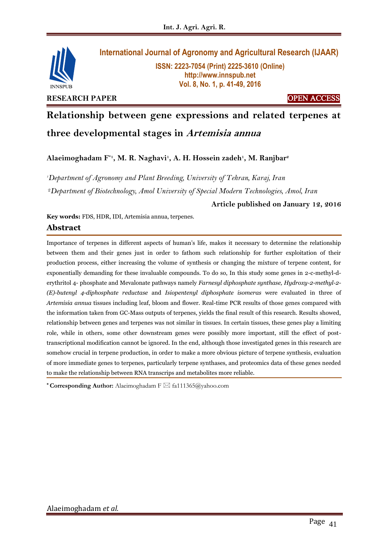

# **International Journal of Agronomy and Agricultural Research (IJAAR)**

**ISSN: 2223-7054 (Print) 2225-3610 (Online) http://www.innspub.net Vol. 8, No. 1, p. 41-49, 2016**

**Relationship between gene expressions and related terpenes at** 

**three developmental stages in Artemisia annua**

**Alaeimoghadam F\*1, M. R. Naghavi<sup>1</sup> , A. H. Hossein zadeh<sup>1</sup> , M. Ranjbar<sup>2</sup>**

*<sup>1</sup>Department of Agronomy and Plant Breeding, University of Tehran, Karaj, Iran*

<sup>2</sup>*Department of Biotechnology, Amol University of Special Modern Technologies, Amol, Iran*

## **Article published on January 12, 2016**

**Key words:** FDS, HDR, IDI, Artemisia annua, terpenes.

## **Abstract**

Importance of terpenes in different aspects of human's life, makes it necessary to determine the relationship between them and their genes just in order to fathom such relationship for further exploitation of their production process, either increasing the volume of synthesis or changing the mixture of terpene content, for exponentially demanding for these invaluable compounds. To do so, In this study some genes in 2-c-methyl-derythritol 4- phosphate and Mevalonate pathways namely *Farnesyl diphosphate synthase, Hydroxy-2-methyl-2- (E)-butenyl 4-diphosphate reductase* and *Isiopentenyl diphosphate isomeras* were evaluated in three of *Artemisia annua* tissues including leaf, bloom and flower. Real-time PCR results of those genes compared with the information taken from GC-Mass outputs of terpenes, yields the final result of this research. Results showed, relationship between genes and terpenes was not similar in tissues. In certain tissues, these genes play a limiting role, while in others, some other downstream genes were possibly more important, still the effect of posttranscriptional modification cannot be ignored. In the end, although those investigated genes in this research are somehow crucial in terpene production, in order to make a more obvious picture of terpene synthesis, evaluation of more immediate genes to terpenes, particularly terpene synthases, and proteomics data of these genes needed to make the relationship between RNA transcrips and metabolites more reliable.

**\* Corresponding Author:** Alaeimoghadam F [fa111365@yahoo.com](mailto:fa111365@yahoo.com)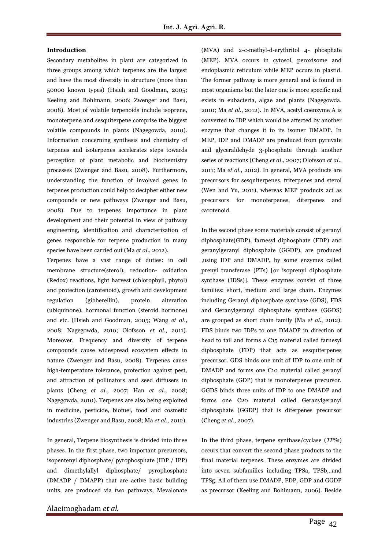### **Introduction**

Secondary metabolites in plant are categorized in three groups among which terpenes are the largest and have the most diversity in structure (more than 50000 known types) (Hsieh and Goodman, 2005; Keeling and Bohlmann, 2006; Zwenger and Basu, 2008). Most of volatile terpenoids include isoprene, monoterpene and sesquiterpene comprise the biggest volatile compounds in plants (Nagegowda, 2010). Information concerning synthesis and chemistry of terpenes and isoterpenes accelerates steps towards perception of plant metabolic and biochemistry processes (Zwenger and Basu, 2008). Furthermore, understanding the function of involved genes in terpenes production could help to decipher either new compounds or new pathways (Zwenger and Basu, 2008). Due to terpenes importance in plant development and their potential in view of pathway engineering, identification and characterization of genes responsible for terpene production in many species have been carried out (Ma *et al*., 2012).

Terpenes have a vast range of duties: in cell membrane structure(sterol), reduction- oxidation (Redox) reactions, light harvest (chlorophyll, phytol) and protection (carotenoid), growth and development regulation (gibberellin), protein alteration (ubiquinone), hormonal function (steroid hormone) and etc. (Hsieh and Goodman, 2005; Wang *et al*., 2008; Nagegowda, 2010; Olofsson *et al*., 2011). Moreover, Frequency and diversity of terpene compounds cause widespread ecosystem effects in nature (Zwenger and Basu, 2008). Terpenes cause high-temperature tolerance, protection against pest, and attraction of pollinators and seed diffusers in plants (Cheng *et al*., 2007; Han *et al*., 2008; Nagegowda, 2010). Terpenes are also being exploited in medicine, pesticide, biofuel, food and cosmetic industries (Zwenger and Basu, 2008; Ma *et al*., 2012).

In general, Terpene biosynthesis is divided into three phases. In the first phase, two important precursors, isopentenyl diphosphate/ pyrophosphate (IDP / IPP) and dimethylallyl diphosphate/ pyrophosphate (DMADP / DMAPP) that are active basic building units, are produced via two pathways, Mevalonate (MEP). MVA occurs in cytosol, peroxisome and endoplasmic reticulum while MEP occurs in plastid. The former pathway is more general and is found in most organisms but the later one is more specific and exists in eubacteria, algae and plants (Nagegowda. 2010; Ma *et al*., 2012). In MVA, acetyl coenzyme A is converted to IDP which would be affected by another enzyme that changes it to its isomer DMADP. In MEP, IDP and DMADP are produced from pyruvate and glyceraldehyde 3-phosphate through another series of reactions (Cheng *et al*., 2007; Olofsson *et al*., 2011; Ma *et al*., 2012). In general, MVA products are precursors for sesquiterpenes, triterpenes and sterol (Wen and Yu, 2011), whereas MEP products act as precursors for monoterpenes, diterpenes and carotenoid.

(MVA) and 2-c-methyl-d-erythritol 4- phosphate

In the second phase some materials consist of geranyl diphosphate(GDP), farnesyl diphosphate (FDP) and geranylgeranyl diphosphate (GGDP), are produced ,using IDP and DMADP, by some enzymes called prenyl transferase (PTs) [or isoprenyl diphosphate synthase (IDSs)]. These enzymes consist of three families: short, medium and large chain. Enzymes including Geranyl diphosphate synthase (GDS), FDS and Geranylgeranyl diphosphate synthase (GGDS) are grouped as short chain family (Ma *et al*., 2012). FDS binds two IDPs to one DMADP in direction of head to tail and forms a C15 material called farnesyl diphosphate (FDP) that acts as sesquiterpenes precursor. GDS binds one unit of IDP to one unit of DMADP and forms one C10 material called geranyl diphosphate (GDP) that is monoterpenes precursor. GGDS binds three units of IDP to one DMADP and forms one C20 material called Geranylgeranyl diphosphate (GGDP) that is diterpenes precursor (Cheng *et al*., 2007).

In the third phase, terpene synthase/cyclase (*TPSs*) occurs that convert the second phase products to the final material terpenes. These enzymes are divided into seven subfamilies including TPSa, TPSb,..and TPSg. All of them use DMADP, FDP, GDP and GGDP as precursor (Keeling and Bohlmann, 2006). Beside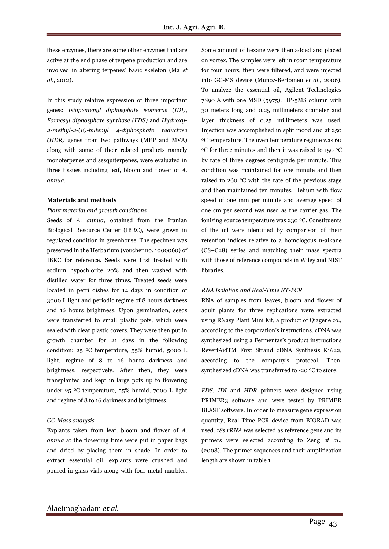these enzymes, there are some other enzymes that are active at the end phase of terpene production and are involved in altering terpenes' basic skeleton (Ma *et al*., 2012).

In this study relative expression of three important genes: *Isiopentenyl diphosphate isomeras (IDI)*, *Farnesyl diphosphate synthase (FDS)* and *Hydroxy-2-methyl-2-(E)-butenyl 4-diphosphate reductase (HDR)* genes from two pathways (MEP and MVA) along with some of their related products namely monoterpenes and sesquiterpenes, were evaluated in three tissues including leaf, bloom and flower of *A. annua*.

#### **Materials and methods**

#### *Plant material and growth conditions*

Seeds of *A. annua,* obtained from the Iranian Biological Resource Center (IBRC), were grown in regulated condition in greenhouse. The specimen was preserved in the Herbarium (voucher no. 1000060) of IBRC for reference. Seeds were first treated with sodium hypochlorite 20% and then washed with distilled water for three times. Treated seeds were located in petri dishes for 14 days in condition of 3000 L light and periodic regime of 8 hours darkness and 16 hours brightness. Upon germination, seeds were transferred to small plastic pots, which were sealed with clear plastic covers. They were then put in growth chamber for 21 days in the following condition: 25 <sup>0</sup>C temperature, 55% humid, 5000 L light, regime of 8 to 16 hours darkness and brightness, respectively. After then, they were transplanted and kept in large pots up to flowering under 25 <sup>0</sup>C temperature, 55% humid, 7000 L light and regime of 8 to 16 darkness and brightness.

#### *GC-Mass analysis*

Explants taken from leaf, bloom and flower of *A. annua* at the flowering time were put in paper bags and dried by placing them in shade. In order to extract essential oil, explants were crushed and poured in glass vials along with four metal marbles. Some amount of hexane were then added and placed on vortex. The samples were left in room temperature for four hours, then were filtered, and were injected into GC-MS device (Munoz-Bertomeu *et al*., 2006). To analyze the essential oil, Agilent Technologies 7890 A with one MSD (5975), HP-5MS column with 30 meters long and 0.25 millimeters diameter and layer thickness of 0.25 millimeters was used. Injection was accomplished in split mood and at 250 <sup>0</sup>C temperature. The oven temperature regime was 60 <sup>0</sup>C for three minutes and then it was raised to 150 <sup>0</sup>C by rate of three degrees centigrade per minute. This condition was maintained for one minute and then raised to 260 <sup>0</sup>C with the rate of the previous stage and then maintained ten minutes. Helium with flow speed of one mm per minute and average speed of one cm per second was used as the carrier gas. The ionizing source temperature was 230 °C. Constituents of the oil were identified by comparison of their retention indices relative to a homologous n-alkane (C8–C28) series and matching their mass spectra with those of reference compounds in Wiley and NIST libraries.

#### *RNA Isolation and Real-Time RT-PCR*

RNA of samples from leaves, bloom and flower of adult plants for three replications were extracted using RNasy Plant Mini Kit, a product of Qiagene co., according to the corporation's instructions. cDNA was synthesized using a Fermentas's product instructions RevertAidTM First Strand cDNA Synthesis K1622, according to the company's protocol. Then, synthesized cDNA was transferred to -20 °C to store.

*FDS*, *IDI* and *HDR* primers were designed using PRIMER3 software and were tested by PRIMER BLAST software. In order to measure gene expression quantity, Real Time PCR device from BIORAD was used. *18s rRNA* was selected as reference gene and its primers were selected according to Zeng *et al*., (2008). The primer sequences and their amplification length are shown in table 1.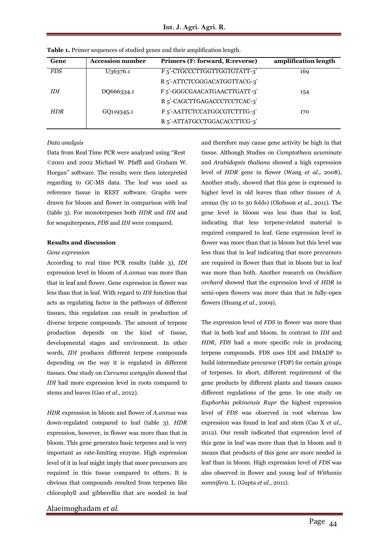| Gene       | <b>Accession number</b> | Primers (F: forward, R: reverse)         | amplification length |
|------------|-------------------------|------------------------------------------|----------------------|
| <i>FDS</i> | U36376.1                | F <sub>5</sub> '-CTGCCCTTGGTTGGTGTATT-3' | 169                  |
|            |                         | R 5'-ATTCTCGGGACATGGTTACG-3'             |                      |
| <b>IDI</b> | DO666334.1              | F <sub>5</sub> '-GGGCGAACATGAACTTGATT-3' | 154                  |
|            |                         | R <sub>5</sub> '-CAGCTTGAGACCCTCCTCAC-3' |                      |
| <b>HDR</b> | GQ119345.1              | F <sub>5</sub> '-AATTCTCCATGGCGTCTTTG-3' | 170                  |
|            |                         | R 5'-ATTATGCCTGGACACCTTCG-3'             |                      |

**Table 1.** Primer sequences of studied genes and their amplification length.

### *Data analysis*

Data from Real Time PCR were analyzed using "Rest ©2001 and 2002 Michael W. Pfaffl and Graham W. Horgan" software. The results were then interpreted regarding to GC-MS data. The leaf was used as reference tissue in REST software. Graphs were drawn for bloom and flower in comparison with leaf (table 3). For monoterpenes both *HDR* and *IDI* and for sesquiterpenes, *FDS* and *IDI* were compared.

### **Results and discussion**

#### *Gene expression*

According to real time PCR results (table 3), *IDI* expression level in bloom of *A.annua* was more than that in leaf and flower. Gene expression in flower was less than that in leaf. With regard to *IDI* function that acts as regulating factor in the pathways of different tissues, this regulation can result in production of diverse terpene compounds. The amount of terpene production depends on the kind of tissue, developmental stages and environment. In other words, *IDI* produces different terpene compounds depending on the way it is regulated in different tissues. One study on *Curcuma wenyujin* showed that *IDI* had more expression level in roots compared to stems and leaves (Gao *et al*., 2012).

*HDR* expression in bloom and flower of *A.annua* was down-regulated compared to leaf (table 3). *HDR* expression, however, in flower was more than that in bloom. This gene generates basic terpenes and is very important as rate-limiting enzyme. High expression level of it in leaf might imply that more precursors are required in this tissue compared to others. It is obvious that compounds resulted from terpenes like chlorophyll and gibberellin that are needed in leaf

Alaeimoghadam *et al.*

and therefore may cause gene activity be high in that tissue. Although Studies on *Camptotheca acuminate* and *Arabidopsis thaliana* showed a high expression level of *HDR* gene in flower (Wang *et al*., 2008), Another study, showed that this gene is expressed in higher level in old leaves than other tissues of *A. annua* (by 10 to 30 folds) (Olofsson *et al*., 2011). The gene level in bloom was less than that in leaf, indicating that less terpene-related material is required compared to leaf. Gene expression level in flower was more than that in bloom but this level was less than that in leaf indicating that more precursors are required in flower than that in bloom but in leaf was more than both. Another research on *Oncidium orchard* showed that the expression level of *HDR* in semi-open flowers was more than that in fully-open flowers (Huang *et al*., 2009).

The expression level of *FDS* in flower was more than that in both leaf and bloom. In contrast to *IDI* and *HDR, FDS* had a more specific role in producing terpene compounds. FDS uses IDI and DMADP to build intermediate precursor (FDP) for certain groups of terpenes. In short, different requirement of the gene products by different plants and tissues causes different regulations of the gene. In one study on *Euphorbia pekinensis Rupr* the highest expression level of *FDS* was observed in root whereas low expression was found in leaf and stem (Cao X *et al*., 2012). Our result indicated that expression level of this gene in leaf was more than that in bloom and it means that products of this gene are more needed in leaf than in bloom. High expression level of *FDS* was also observed in flower and young leaf of *Withania somnifera.* L. (Gupta *et al*., 2011).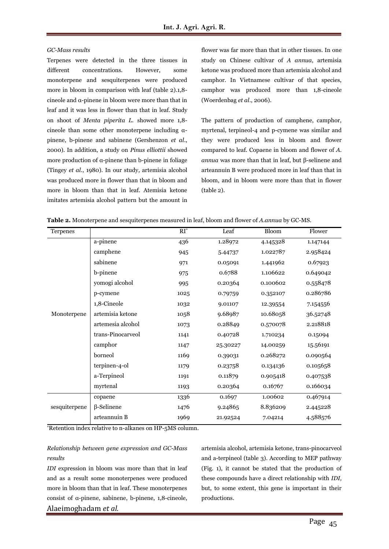#### *GC-Mass results*

Terpenes were detected in the three tissues in different concentrations. However, some monoterpene and sesquiterpenes were produced more in bloom in comparison with leaf (table 2).1,8 cineole and α-pinene in bloom were more than that in leaf and it was less in flower than that in leaf. Study on shoot of *Menta piperita L.* showed more 1,8 cineole than some other monoterpene including αpinene, b-pinene and sabinene (Gershenzon *et al*., 2000). In addition, a study on *Pinus elliottii* showed more production of α-pinene than b-pinene in foliage (Tingey *et al*., 1980). In our study*,* artemisia alcohol was produced more in flower than that in bloom and more in bloom than that in leaf. Atemisia ketone imitates artemisia alcohol pattern but the amount in flower was far more than that in other tissues. In one study on Chinese cultivar of *A annua*, artemisia ketone was produced more than artemisia alcohol and camphor. In Vietnamese cultivar of that species, camphor was produced more than 1,8-cineole (Woerdenbag *et al*., 2006).

The pattern of production of camphene, camphor, myrtenal, terpineol-4 and p-cymene was similar and they were produced less in bloom and flower compared to leaf. Copaene in bloom and flower of *A. annua* was more than that in leaf, but β-selinene and arteannuin B were produced more in leaf than that in bloom, and in bloom were more than that in flower (table 2).

| Terpenes      |                   | $\overline{RI^*}$ | Leaf     | <b>Bloom</b> | Flower   |
|---------------|-------------------|-------------------|----------|--------------|----------|
|               | a-pinene          | 436               | 1.28972  | 4.145328     | 1.147144 |
|               | camphene          | 945               | 5.44737  | 1.022787     | 2.958424 |
|               | sabinene          | 971               | 0.05091  | 1.441962     | 0.67923  |
|               | b-pinene          | 975               | 0.6788   | 1.106622     | 0.649042 |
|               | yomogi alcohol    | 995               | 0.20364  | 0.100602     | 0.558478 |
|               | p-cymene          | 1025              | 0.79759  | 0.352107     | 0.286786 |
|               | 1,8-Cineole       | 1032              | 9.01107  | 12.39554     | 7.154556 |
| Monoterpene   | artemisia ketone  | 1058              | 9.68987  | 10.68058     | 36.52748 |
|               | artemesia alcohol | 1073              | 0.28849  | 0.570078     | 2.218818 |
|               | trans-Pinocarveol | 1141              | 0.40728  | 1.710234     | 0.15094  |
|               | camphor           | 1147              | 25.30227 | 14.00259     | 15.56191 |
|               | borneol           | 1169              | 0.39031  | 0.268272     | 0.090564 |
|               | terpinen-4-ol     | 1179              | 0.23758  | 0.134136     | 0.105658 |
|               | a-Terpineol       | 1191              | 0.11879  | 0.905418     | 0.407538 |
|               | myrtenal          | 1193              | 0.20364  | 0.16767      | 0.166034 |
|               | copaene           | 1336              | 0.1697   | 1.00602      | 0.467914 |
| sesquiterpene | $\beta$ -Selinene | 1476              | 9.24865  | 8.836209     | 2.445228 |
|               | arteannuin B      | 1969              | 21.92524 | 7.04214      | 4.588576 |

**Table 2.** Monoterpene and sesquiterpenes measured in leaf, bloom and flower of *A.annua* by GC-MS.

\*Retention index relative to n-alkanes on HP-5MS column.

## *Relationship between gene expression and GC-Mass results*

Alaeimoghadam *et al. IDI* expression in bloom was more than that in leaf and as a result some monoterpenes were produced more in bloom than that in leaf. These monoterpenes consist of α-pinene, sabinene, b-pinene, 1,8-cineole, artemisia alcohol, artemisia ketone, trans-pinocarveol and a-terpineol (table 3). According to MEP pathway (Fig. 1), it cannot be stated that the production of these compounds have a direct relationship with *IDI,* but, to some extent, this gene is important in their productions.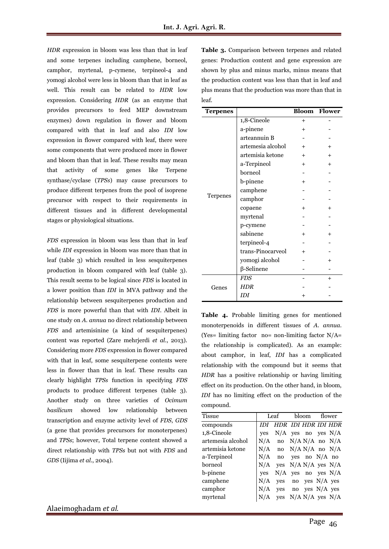*HDR* expression in bloom was less than that in leaf and some terpenes including camphene, borneol, camphor, myrtenal, p-cymene, terpineol-4 and yomogi alcohol were less in bloom than that in leaf as well. This result can be related to *HDR* low expression. Considering *HDR* (as an enzyme that provides precursors to feed MEP downstream enzymes) down regulation in flower and bloom compared with that in leaf and also *IDI* low expression in flower compared with leaf, there were some components that were produced more in flower and bloom than that in leaf. These results may mean that activity of some genes like Terpene synthase/cyclase (*TPSs*) may cause precursors to produce different terpenes from the pool of isoprene precursor with respect to their requirements in different tissues and in different developmental stages or physiological situations.

*FDS* expression in bloom was less than that in leaf while *IDI* expression in bloom was more than that in leaf (table 3) which resulted in less sesquiterpenes production in bloom compared with leaf (table 3). This result seems to be logical since *FDS* is located in a lower position than *IDI* in MVA pathway and the relationship between sesquiterpenes production and *FDS* is more powerful than that with *IDI*. Albeit in one study on *A. annua* no direct relationship between *FDS* and artemisinine (a kind of sesquiterpenes) content was reported (Zare mehrjerdi *et al*., 2013). Considering more *FDS* expression in flower compared with that in leaf, some sesquiterpene contents were less in flower than that in leaf. These results can clearly highlight *TPSs* function in specifying *FDS* products to produce different terpenes (table 3). Another study on three varieties of *Ocimum basilicum* showed low relationship between transcription and enzyme activity level of *FDS*, *GDS*  (a gene that provides precursors for monoterpenes) and *TPSs*; however, Total terpene content showed a direct relationship with *TPSs* but not with *FDS* and *GDS* (Iijima *et al*., 2004).

**Table 3.** Comparison between terpenes and related genes: Production content and gene expression are shown by plus and minus marks, minus means that the production content was less than that in leaf and plus means that the production was more than that in leaf.

| <b>Terpenes</b> |                   |        | <b>Bloom</b> Flower |
|-----------------|-------------------|--------|---------------------|
|                 | 1,8-Cineole       | $^{+}$ |                     |
|                 | a-pinene          | $+$    |                     |
|                 | arteannuin B      |        |                     |
|                 | artemesia alcohol | $^{+}$ |                     |
|                 | artemisia ketone  | $^{+}$ | $^{+}$              |
|                 | a-Terpineol       | $^{+}$ | $\overline{+}$      |
|                 | borneol           |        |                     |
|                 | b-pinene          | $+$    |                     |
|                 | camphene          |        |                     |
| Terpenes        | camphor           |        |                     |
|                 | copaene           | $^{+}$ | $\overline{+}$      |
|                 | myrtenal          |        |                     |
|                 | p-cymene          |        |                     |
|                 | sabinene          | $+$    | $\overline{+}$      |
|                 | terpineol-4       |        |                     |
|                 | trans-Pinocarveol |        |                     |
|                 | yomogi alcohol    |        | $\pm$               |
|                 | $\beta$ -Selinene |        |                     |
|                 | <b>FDS</b>        |        | $^{+}$              |
| Genes           | <b>HDR</b>        |        |                     |
|                 | IDI               |        |                     |

**Table 4.** Probable limiting genes for mentioned monoterpenoids in different tissues of *A. annua.*  (Yes= limiting factor  $no=$  non-limiting factor  $N/A=$ the relationship is complicated). As an example: about camphor, in leaf, *IDI* has a complicated relationship with the compound but it seems that *HDR* has a positive relationship or having limiting effect on its production. On the other hand, in bloom, *IDI* has no limiting effect on the production of the compound.

| <b>Tissue</b>     | Leaf |                             | bloom |                         | flower |  |
|-------------------|------|-----------------------------|-------|-------------------------|--------|--|
| compounds         | IDI. | HDR IDI HDR IDI HDR         |       |                         |        |  |
| 1,8-Cineole       | ves  | $N/A$ yes no yes $N/A$      |       |                         |        |  |
| artemesia alcohol |      | $N/A$ no $N/A N/A$ no $N/A$ |       |                         |        |  |
| artemisia ketone  |      | $N/A$ no $N/A N/A$ no $N/A$ |       |                         |        |  |
| a-Terpineol       | N/A  | no                          |       | yes no $N/A$ no         |        |  |
| borneol           | N/A  |                             |       | yes $N/A N/A$ yes $N/A$ |        |  |
| b-pinene          | ves  |                             |       | $N/A$ yes no yes $N/A$  |        |  |
| camphene          | N/A  | ves                         |       | no yes N/A yes          |        |  |
| camphor           |      | $N/A$ yes no yes $N/A$ yes  |       |                         |        |  |
| myrtenal          | N/A  |                             |       | yes N/A N/A yes N/A     |        |  |
|                   |      |                             |       |                         |        |  |

Alaeimoghadam *et al.*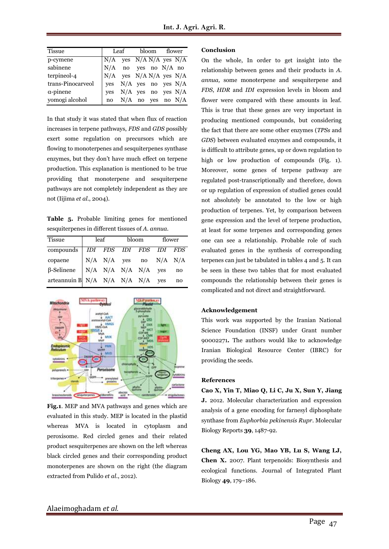| <b>Tissue</b>     | Leaf                                                                                                                                                                    |                                                  | bloom flower |  |  |  |
|-------------------|-------------------------------------------------------------------------------------------------------------------------------------------------------------------------|--------------------------------------------------|--------------|--|--|--|
| p-cymene          | $\begin{tabular}{ l l } \hline N/A & yes & N/A & N/A & yes & N/A \\ \hline N/A & no & yes & no & N/A & no \\ N/A & yes & N/A & N/A & yes & N/A \\ \hline \end{tabular}$ |                                                  |              |  |  |  |
| sabinene          |                                                                                                                                                                         |                                                  |              |  |  |  |
| terpineol-4       |                                                                                                                                                                         |                                                  |              |  |  |  |
| trans-Pinocarveol |                                                                                                                                                                         | yes N/A yes no yes N/A<br>yes N/A yes no yes N/A |              |  |  |  |
| $\alpha$ -pinene  |                                                                                                                                                                         |                                                  |              |  |  |  |
| yomogi alcohol    | no                                                                                                                                                                      | $N/A$ no yes no $N/A$                            |              |  |  |  |

In that study it was stated that when flux of reaction increases in terpene pathways, *FDS* and *GDS* possibly exert some regulation on precursors which are flowing to monoterpenes and sesquiterpenes synthase enzymes, but they don't have much effect on terpene production. This explanation is mentioned to be true providing that monoterpene and sesquiterpene pathways are not completely independent as they are not (Iijima *et al*., 2004).

**Table 5.** Probable limiting genes for mentioned sesquiterpenes in different tissues of *A. annua.* 

| <b>Tissue</b>                           | leaf |  | bloom                                                            | flower |    |
|-----------------------------------------|------|--|------------------------------------------------------------------|--------|----|
| compounds   IDI FDS IDI FDS IDI FDS     |      |  |                                                                  |        |    |
| copaene                                 |      |  | $\mid$ N/A $\mid$ N/A $\mid$ yes $\mid$ no $\mid$ N/A $\mid$ N/A |        |    |
| $\beta$ -Selinene   N/A N/A N/A N/A yes |      |  |                                                                  |        | no |
| arteannuin B N/A N/A N/A N/A yes        |      |  |                                                                  |        | no |



**Fig.1**. MEP and MVA pathways and genes which are evaluated in this study. MEP is located in the plastid whereas MVA is located in cytoplasm and peroxisome. Red circled genes and their related product sesquiterpenes are shown on the left whereas black circled genes and their corresponding product monoterpenes are shown on the right (the diagram extracted from Pulido *et al*., 2012).

#### **Conclusion**

On the whole, In order to get insight into the relationship between genes and their products in *A. annua,* some monoterpene and sesquiterpene and *FDS*, *HDR* and *IDI* expression levels in bloom and flower were compared with these amounts in leaf. This is true that these genes are very important in producing mentioned compounds, but considering the fact that there are some other enzymes (*TPSs* and *GDS*) between evaluated enzymes and compounds, it is difficult to attribute genes, up or down regulation to high or low production of compounds (Fig. 1). Moreover, some genes of terpene pathway are regulated post-transcriptionally and therefore, down or up regulation of expression of studied genes could not absolutely be annotated to the low or high production of terpenes. Yet, by comparison between gene expression and the level of terpene production, at least for some terpenes and corresponding genes one can see a relationship. Probable role of such evaluated genes in the synthesis of corresponding terpenes can just be tabulated in tables 4 and 5. It can be seen in these two tables that for most evaluated compounds the relationship between their genes is complicated and not direct and straightforward.

#### **Acknowledgement**

This work was supported by the Iranian National Science Foundation (INSF) under Grant number 90002271*.* The authors would like to acknowledge Iranian Biological Resource Center (IBRC) for providing the seeds.

#### **References**

**[Cao X,](http://www.ncbi.nlm.nih.gov/pubmed?term=Cao%20X%5BAuthor%5D&cauthor=true&cauthor_uid=21614522) [Yin T,](http://www.ncbi.nlm.nih.gov/pubmed?term=Yin%20T%5BAuthor%5D&cauthor=true&cauthor_uid=21614522) [Miao Q,](http://www.ncbi.nlm.nih.gov/pubmed?term=Miao%20Q%5BAuthor%5D&cauthor=true&cauthor_uid=21614522) [Li C,](http://www.ncbi.nlm.nih.gov/pubmed?term=Li%20C%5BAuthor%5D&cauthor=true&cauthor_uid=21614522) [Ju X,](http://www.ncbi.nlm.nih.gov/pubmed?term=Ju%20X%5BAuthor%5D&cauthor=true&cauthor_uid=21614522) [Sun Y,](http://www.ncbi.nlm.nih.gov/pubmed?term=Sun%20Y%5BAuthor%5D&cauthor=true&cauthor_uid=21614522) [Jiang](http://www.ncbi.nlm.nih.gov/pubmed?term=Jiang%20J%5BAuthor%5D&cauthor=true&cauthor_uid=21614522)  [J.](http://www.ncbi.nlm.nih.gov/pubmed?term=Jiang%20J%5BAuthor%5D&cauthor=true&cauthor_uid=21614522)** 2012. Molecular characterization and expression analysis of a gene encoding for farnesyl diphosphate synthase from *Euphorbia pekinensis Rupr*. [Molecular](file:///D:/final%20artimisinine/papers%20as%20your%20paper)  [Biology Repo](file:///D:/final%20artimisinine/papers%20as%20your%20paper)rts **39**, 1487-92.

**Cheng AX, Lou YG, Mao YB, Lu S, Wang LJ, Chen X.** 2007. Plant terpenoids: Biosynthesis and ecological functions. Journal of Integrated Plant Biology **49**, 179−186.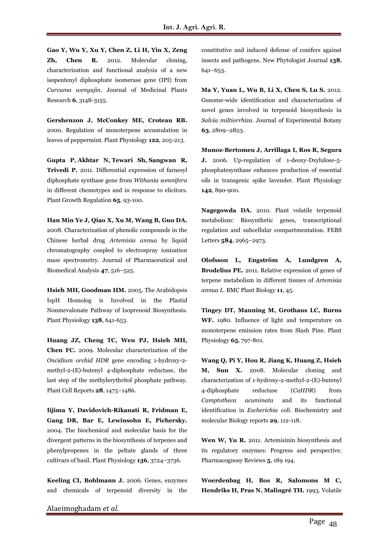**Gao Y, Wu Y, Xu Y, Chen Z, Li H, Yin X, Zeng Zh, Chen R.** 2012. Molecular cloning, characterization and functional analysis of a new isopentenyl diphosphate isomerase gene (IPI) from *Curcuma wenyujin*. Journal of Medicinal Plants Research **6**, 3148-3155.

**Gershenzon J, McConkey ME, Croteau RB.**  2000. Regulation of monoterpene accumulation in leaves of peppermint. Plant Physiology **122**, 205-213.

**Gupta P, Akhtar N, Tewari Sh, Sangwan R, Trivedi P.** 2011. Differential expression of farnesyl diphosphate synthase gene from *Withania somnifera* in different chemotypes and in response to elicitors. [Plant Growth Regula](file:///C:/Users/Rumi/AppData/Local/Temp/Plant%20Growth%20Regul)tion **65**, 93-100.

**Han Min Ye J, Qiao X, Xu M, Wang B, Guo DA.** 2008. Characterization of phenolic compounds in the Chinese herbal drug *Artemisia annua* by liquid chromatography coupled to electrospray ionization mass spectrometry. Journal of Pharmaceutical and Biomedical Analysis **47**, 516–525.

**Hsieh MH, Goodman HM.** 2005. The Arabidopsis IspH Homolog is Involved in the Plastid Nonmevalonate Pathway of Isoprenoid Biosynthesis. Plant Physiology **138**, 641-653.

**Huang JZ, Cheng TC, Wen PJ, Hsieh MH, Chen FC.** 2009. Molecular characterization of the *Oncidium orchid HDR* gene encoding 1-hydroxy-2 methyl-2-(E)-butenyl 4-diphosphate reductase, the last step of the methylerythritol phosphate pathway. Plant Cell Reports **28**, 1475–1486.

**Iijima Y, Davidovich-Rikanati R, Fridman E, Gang DR, Bar E, Lewinsohn E, Pichersky.**  2004. The biochemical and molecular basis for the divergent patterns in the biosynthesis of terpenes and phenylpropenes in the peltate glands of three cultivars of basil. Plant Physiology **136**, 3724–3736.

**Keeling CI, Bohlmann J.** 2006. Genes, enzymes and chemicals of terpenoid diversity in the constitutive and induced defense of conifers against insects and pathogens. New Phytologist Journal **138**, 641–653.

**Ma Y, Yuan L, Wu B, Li X, Chen S, Lu S.** 2012. Genome-wide identification and characterization of novel genes involved in terpenoid biosynthesis in *Salvia miltiorrhiza*. Journal of Experimental Botany **63**, 2809–2823.

**Munoz-Bertomeu J, Arrillaga I, Ros R, Segura J.** 2006. Up-regulation of 1-deoxy-Dxylulose-5 phosphatesynthase enhances production of essential oils in transgenic spike lavender. Plant Physiology **142**, 890-900.

**Nagegowda DA.** 2010. Plant volatile terpenoid metabolism: Biosynthetic genes, transcriptional regulation and subcellular compartmentation. FEBS Letters **584**, 2965–2973.

**Olofsson L, Engström A, Lundgren A, Brodelius PE.** 2011. Relative expression of genes of terpene metabolism in different tissues of *Artemisia annua L.* BMC Plant Biology **11**, 45.

**Tingey DT, Manning M, Grothaus LC, Burns WF.** 1980. Influence of light and temperature on monoterpene emission rates from Slash Pine. Plant Physiology **65**, 797-801.

**Wang Q, Pi Y, Hou R, Jiang K, Huang Z, Hsieh M, Sun X.** 2008. Molecular cloning and characterization of 1-hydroxy-2-methyl-2-(E)-butenyl 4-diphosphate reductase (*CaHDR*) from *Camptotheca acuminata* and its functional identification in *Escherichia coli*. Biochemistry and molecular Biology reports **29**, 112-118.

**Wen W, Yu R.** 2011. Artemisinin biosynthesis and its regulatory enzymes: Progress and perspective. Pharmacognosy Reviews **5**, 189 194.

**Woerdenbag H, Bos R, Salomons M C, Hendriks H, Pras N, Malingré TH.** 1993. Volatile

Alaeimoghadam *et al.*